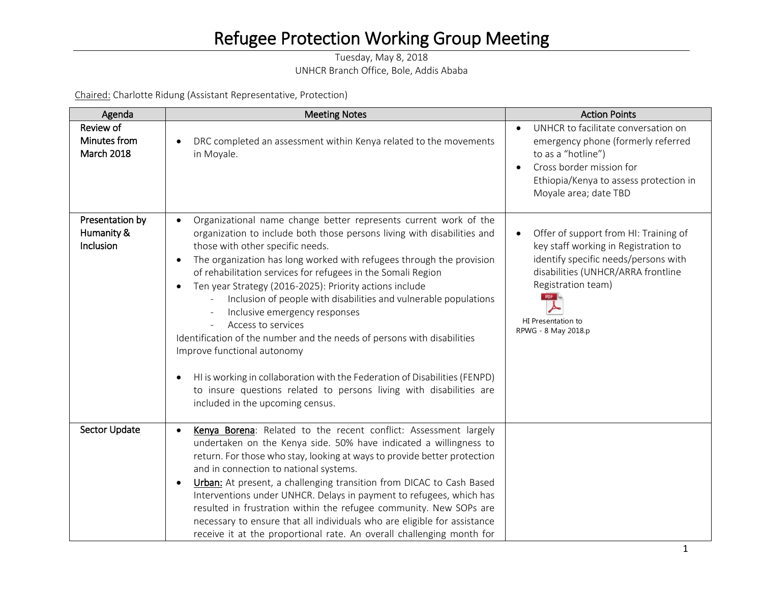## Refugee Protection Working Group Meeting

Tuesday, May 8, 2018 UNHCR Branch Office, Bole, Addis Ababa

Chaired: Charlotte Ridung (Assistant Representative, Protection)

| Agenda                                         | <b>Meeting Notes</b>                                                                                                                                                                                                                                                                                                                                                                                                                                                                                                                                                                                                                                                                                                                                                                                                                                    | <b>Action Points</b>                                                                                                                                                                                                           |
|------------------------------------------------|---------------------------------------------------------------------------------------------------------------------------------------------------------------------------------------------------------------------------------------------------------------------------------------------------------------------------------------------------------------------------------------------------------------------------------------------------------------------------------------------------------------------------------------------------------------------------------------------------------------------------------------------------------------------------------------------------------------------------------------------------------------------------------------------------------------------------------------------------------|--------------------------------------------------------------------------------------------------------------------------------------------------------------------------------------------------------------------------------|
| Review of<br>Minutes from<br><b>March 2018</b> | DRC completed an assessment within Kenya related to the movements<br>in Moyale.                                                                                                                                                                                                                                                                                                                                                                                                                                                                                                                                                                                                                                                                                                                                                                         | UNHCR to facilitate conversation on<br>$\bullet$<br>emergency phone (formerly referred<br>to as a "hotline")<br>Cross border mission for<br>$\bullet$<br>Ethiopia/Kenya to assess protection in<br>Moyale area; date TBD       |
| Presentation by<br>Humanity &<br>Inclusion     | Organizational name change better represents current work of the<br>$\bullet$<br>organization to include both those persons living with disabilities and<br>those with other specific needs.<br>The organization has long worked with refugees through the provision<br>$\bullet$<br>of rehabilitation services for refugees in the Somali Region<br>Ten year Strategy (2016-2025): Priority actions include<br>$\bullet$<br>Inclusion of people with disabilities and vulnerable populations<br>Inclusive emergency responses<br>Access to services<br>Identification of the number and the needs of persons with disabilities<br>Improve functional autonomy<br>HI is working in collaboration with the Federation of Disabilities (FENPD)<br>to insure questions related to persons living with disabilities are<br>included in the upcoming census. | Offer of support from HI: Training of<br>key staff working in Registration to<br>identify specific needs/persons with<br>disabilities (UNHCR/ARRA frontline<br>Registration team)<br>HI Presentation to<br>RPWG - 8 May 2018.p |
| <b>Sector Update</b>                           | Kenya Borena: Related to the recent conflict: Assessment largely<br>undertaken on the Kenya side. 50% have indicated a willingness to<br>return. For those who stay, looking at ways to provide better protection<br>and in connection to national systems.<br>Urban: At present, a challenging transition from DICAC to Cash Based<br>$\bullet$<br>Interventions under UNHCR. Delays in payment to refugees, which has<br>resulted in frustration within the refugee community. New SOPs are<br>necessary to ensure that all individuals who are eligible for assistance<br>receive it at the proportional rate. An overall challenging month for                                                                                                                                                                                                      |                                                                                                                                                                                                                                |